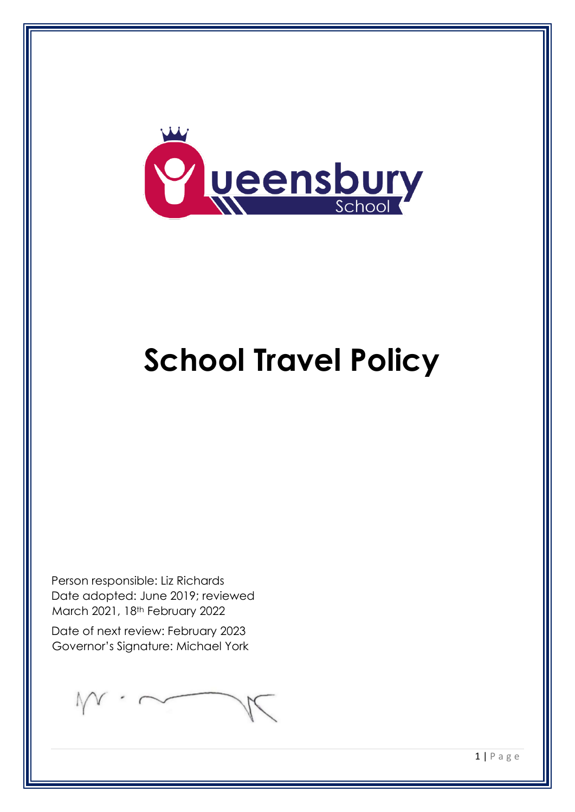

# **School Travel Policy**

Person responsible: Liz Richards Date adopted: June 2019; reviewed March 2021, 18th February 2022

Date of next review: February 2023 Governor's Signature: Michael York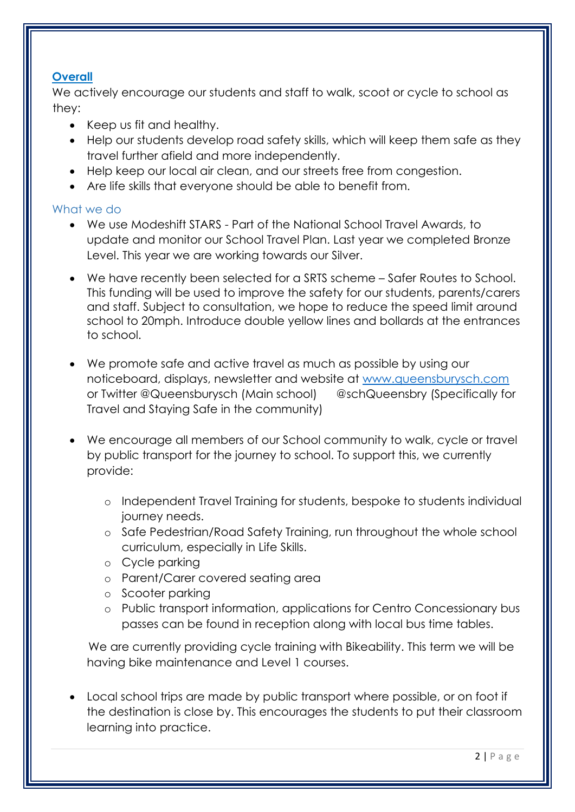# **Overall**

We actively encourage our students and staff to walk, scoot or cycle to school as they:

- Keep us fit and healthy.
- Help our students develop road safety skills, which will keep them safe as they travel further afield and more independently.
- Help keep our local air clean, and our streets free from congestion.
- Are life skills that everyone should be able to benefit from.

### What we do

- We use Modeshift STARS Part of the National School Travel Awards, to update and monitor our School Travel Plan. Last year we completed Bronze Level. This year we are working towards our Silver.
- We have recently been selected for a SRTS scheme Safer Routes to School. This funding will be used to improve the safety for our students, parents/carers and staff. Subject to consultation, we hope to reduce the speed limit around school to 20mph. Introduce double yellow lines and bollards at the entrances to school.
- We promote safe and active travel as much as possible by using our noticeboard, displays, newsletter and website at [www.queensburysch.com](http://www.queensburysch.com/) or Twitter @Queensburysch (Main school) @schQueensbry (Specifically for Travel and Staying Safe in the community)
- We encourage all members of our School community to walk, cycle or travel by public transport for the journey to school. To support this, we currently provide:
	- o Independent Travel Training for students, bespoke to students individual journey needs.
	- o Safe Pedestrian/Road Safety Training, run throughout the whole school curriculum, especially in Life Skills.
	- o Cycle parking
	- o Parent/Carer covered seating area
	- o Scooter parking
	- o Public transport information, applications for Centro Concessionary bus passes can be found in reception along with local bus time tables.

We are currently providing cycle training with Bikeability. This term we will be having bike maintenance and Level 1 courses.

• Local school trips are made by public transport where possible, or on foot if the destination is close by. This encourages the students to put their classroom learning into practice.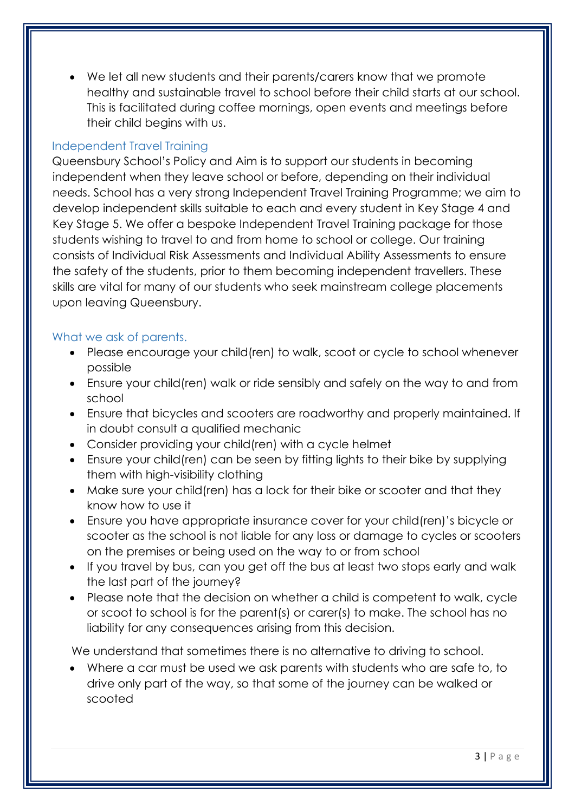• We let all new students and their parents/carers know that we promote healthy and sustainable travel to school before their child starts at our school. This is facilitated during coffee mornings, open events and meetings before their child begins with us.

# Independent Travel Training

Queensbury School's Policy and Aim is to support our students in becoming independent when they leave school or before, depending on their individual needs. School has a very strong Independent Travel Training Programme; we aim to develop independent skills suitable to each and every student in Key Stage 4 and Key Stage 5. We offer a bespoke Independent Travel Training package for those students wishing to travel to and from home to school or college. Our training consists of Individual Risk Assessments and Individual Ability Assessments to ensure the safety of the students, prior to them becoming independent travellers. These skills are vital for many of our students who seek mainstream college placements upon leaving Queensbury.

### What we ask of parents.

- Please encourage your child(ren) to walk, scoot or cycle to school whenever possible
- Ensure your child(ren) walk or ride sensibly and safely on the way to and from school
- Ensure that bicycles and scooters are roadworthy and properly maintained. If in doubt consult a qualified mechanic
- Consider providing your child(ren) with a cycle helmet
- Ensure your child(ren) can be seen by fitting lights to their bike by supplying them with high-visibility clothing
- Make sure your child(ren) has a lock for their bike or scooter and that they know how to use it
- Ensure you have appropriate insurance cover for your child(ren)'s bicycle or scooter as the school is not liable for any loss or damage to cycles or scooters on the premises or being used on the way to or from school
- If you travel by bus, can you get off the bus at least two stops early and walk the last part of the journey?
- Please note that the decision on whether a child is competent to walk, cycle or scoot to school is for the parent(s) or carer(s) to make. The school has no liability for any consequences arising from this decision.

We understand that sometimes there is no alternative to driving to school.

• Where a car must be used we ask parents with students who are safe to, to drive only part of the way, so that some of the journey can be walked or scooted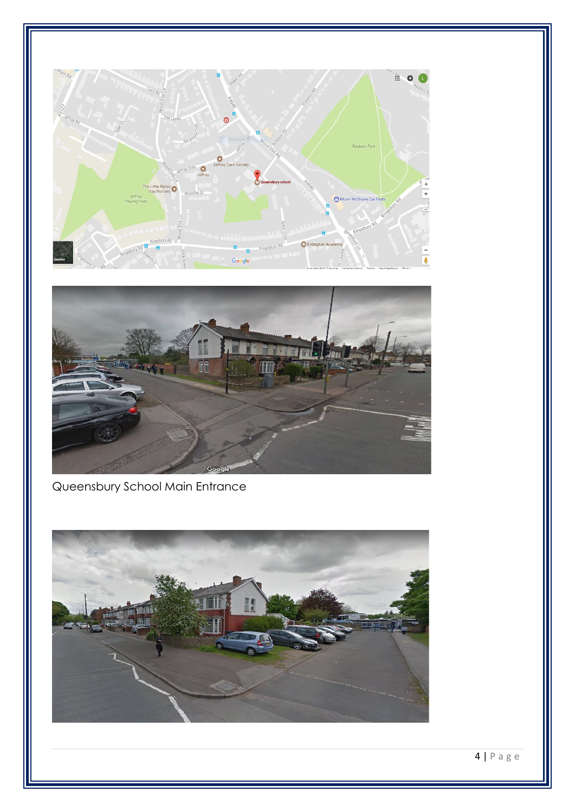



Queensbury School Main Entrance

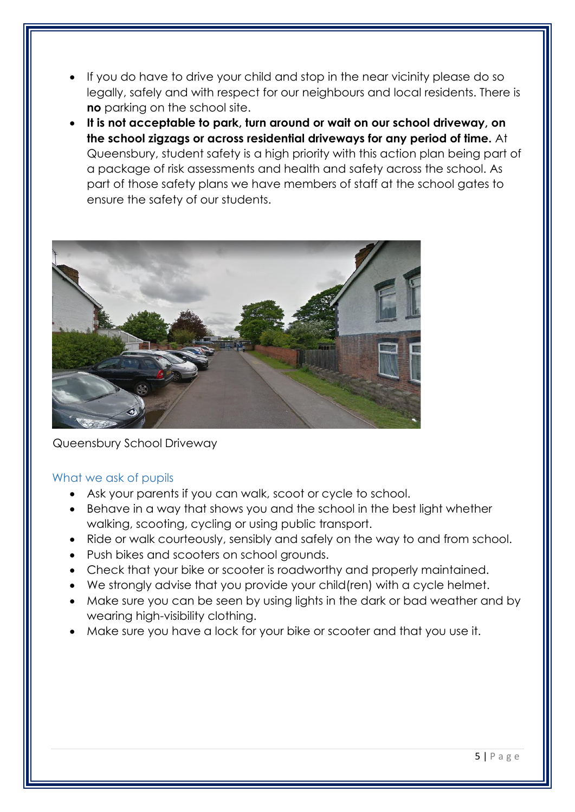- If you do have to drive your child and stop in the near vicinity please do so legally, safely and with respect for our neighbours and local residents. There is **no** parking on the school site.
- **It is not acceptable to park, turn around or wait on our school driveway, on the school zigzags or across residential driveways for any period of time.** At Queensbury, student safety is a high priority with this action plan being part of a package of risk assessments and health and safety across the school. As part of those safety plans we have members of staff at the school gates to ensure the safety of our students.



### Queensbury School Driveway

### What we ask of pupils

- Ask your parents if you can walk, scoot or cycle to school.
- Behave in a way that shows you and the school in the best light whether walking, scooting, cycling or using public transport.
- Ride or walk courteously, sensibly and safely on the way to and from school.
- Push bikes and scooters on school grounds.
- Check that your bike or scooter is roadworthy and properly maintained.
- We strongly advise that you provide your child(ren) with a cycle helmet.
- Make sure you can be seen by using lights in the dark or bad weather and by wearing high-visibility clothing.
- Make sure you have a lock for your bike or scooter and that you use it.